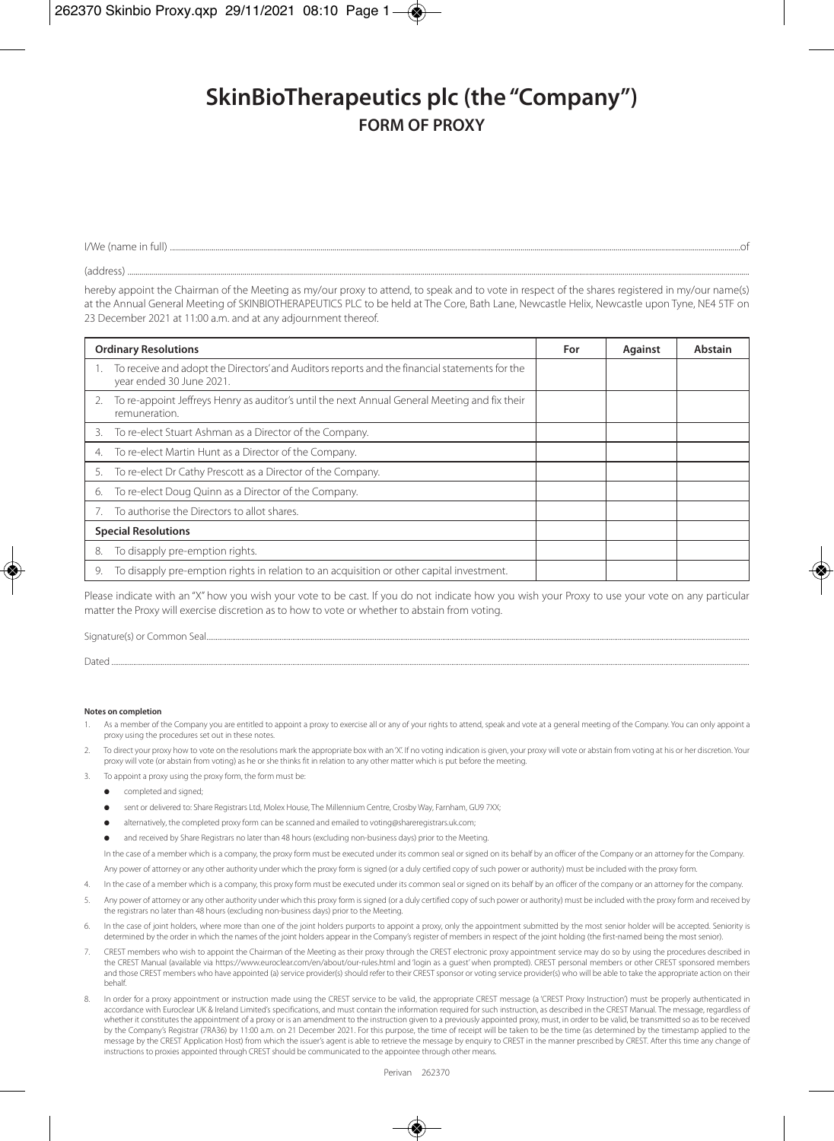## **SkinBioTherapeutics plc (the "Company") FORM OF PROXY**

| I/We (name<br>≅tull)<br>. |
|---------------------------|
|---------------------------|

(address) ..........................................................................................................................................................................................................................................................................................................................

hereby appoint the Chairman of the Meeting as my/our proxy to attend, to speak and to vote in respect of the shares registered in my/our name(s) at the Annual General Meeting of SKINBIOTHERAPEUTICS PLC to be held at The Core, Bath Lane, Newcastle Helix, Newcastle upon Tyne, NE4 5TF on 23 December 2021 at 11:00 a.m. and at any adjournment thereof.

| <b>Ordinary Resolutions</b>                                                                                                  | For | <b>Against</b> | Abstain |
|------------------------------------------------------------------------------------------------------------------------------|-----|----------------|---------|
| 1. To receive and adopt the Directors' and Auditors reports and the financial statements for the<br>year ended 30 June 2021. |     |                |         |
| To re-appoint Jeffreys Henry as auditor's until the next Annual General Meeting and fix their<br>remuneration.               |     |                |         |
| To re-elect Stuart Ashman as a Director of the Company.<br>3.                                                                |     |                |         |
| To re-elect Martin Hunt as a Director of the Company.<br>4.                                                                  |     |                |         |
| To re-elect Dr Cathy Prescott as a Director of the Company.<br>5.                                                            |     |                |         |
| To re-elect Doug Quinn as a Director of the Company.<br>6.                                                                   |     |                |         |
| To authorise the Directors to allot shares.                                                                                  |     |                |         |
| <b>Special Resolutions</b>                                                                                                   |     |                |         |
| To disapply pre-emption rights.<br>8.                                                                                        |     |                |         |
| To disapply pre-emption rights in relation to an acquisition or other capital investment.<br>9.                              |     |                |         |

Please indicate with an "X" how you wish your vote to be cast. If you do not indicate how you wish your Proxy to use your vote on any particular matter the Proxy will exercise discretion as to how to vote or whether to abstain from voting.

| Dater |
|-------|

## **Notes on completion**

- As a member of the Company you are entitled to appoint a proxy to exercise all or any of your rights to attend, speak and vote at a general meeting of the Company. You can only appoint a proxy using the procedures set out in these notes.
- To direct your proxy how to vote on the resolutions mark the appropriate box with an 'X'. If no voting indication is given, your proxy will vote or abstain from voting at his or her discretion. Your proxy will vote (or abstain from voting) as he or she thinks fit in relation to any other matter which is put before the meeting.
- To appoint a proxy using the proxy form, the form must be:
	- completed and signed;
	- l sent or delivered to: Share Registrars Ltd, Molex House, The Millennium Centre, Crosby Way, Farnham, GU9 7XX;
	- **e** alternatively, the completed proxy form can be scanned and emailed to voting@shareregistrars.uk.com;
	- and received by Share Registrars no later than 48 hours (excluding non-business days) prior to the Meeting.

In the case of a member which is a company, the proxy form must be executed under its common seal or signed on its behalf by an officer of the Company or an attorney for the Company.

Any power of attorney or any other authority under which the proxy form is signed (or a duly certified copy of such power or authority) must be included with the proxy for

- 4. In the case of a member which is a company, this proxy form must be executed under its common seal or signed on its behalf by an officer of the company or an attorney for the company.
- 5. Any power of attorney or any other authority under which this proxy form is signed (or a duly certified copy of such power or authority) must be included with the proxy form and received by the registrars no later than 48 hours (excluding non-business days) prior to the Meeting.
- 6. In the case of joint holders, where more than one of the joint holders purports to appoint a proxy, only the appointment submitted by the most senior holder will be accepted. Seniority is determined by the order in which the names of the joint holders appear in the Company's register of members in respect of the joint holding (the first-named being the most senior).
- 7. CREST members who wish to appoint the Chairman of the Meeting as their proxy through the CREST electronic proxy appointment service may do so by using the procedures described in the CREST Manual (available via https://www.euroclear.com/en/about/our-rules.html and 'login as a guest' when prompted). CREST personal members or other CREST sponsored members and those CREST members who have appointed (a) service provider(s) should refer to their CREST sponsor or voting service provider(s) who will be able to take the appropriate action on their behalf.
- 8. In order for a proxy appointment or instruction made using the CREST service to be valid, the appropriate CREST message (a 'CREST Proxy Instruction') must be properly authenticated in accordance with Euroclear UK & Ireland Limited's specifications, and must contain the information required for such instruction, as described in the CREST Manual. The message, regardless of whether it constitutes the appointment of a proxy or is an amendment to the instruction given to a previously appointed proxy, must, in order to be valid, be transmitted so as to be received by the Company's Registrar (7RA36) by 11:00 a.m. on 21 December 2021. For this purpose, the time of receipt will be taken to be the time (as determined by the timestamp applied to the message by the CREST Application Host) from which the issuer's agent is able to retrieve the message by enquiry to CREST in the manner prescribed by CREST. After this time any change of instructions to proxies appointed through CREST should be communicated to the appointee through other means.